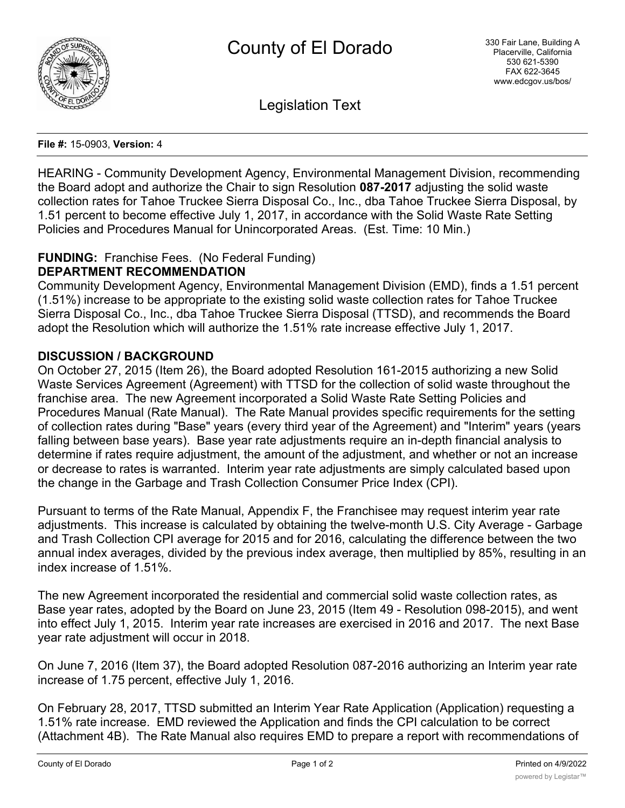

Legislation Text

#### **File #:** 15-0903, **Version:** 4

HEARING - Community Development Agency, Environmental Management Division, recommending the Board adopt and authorize the Chair to sign Resolution **087-2017** adjusting the solid waste collection rates for Tahoe Truckee Sierra Disposal Co., Inc., dba Tahoe Truckee Sierra Disposal, by 1.51 percent to become effective July 1, 2017, in accordance with the Solid Waste Rate Setting Policies and Procedures Manual for Unincorporated Areas. (Est. Time: 10 Min.)

### **FUNDING:** Franchise Fees. (No Federal Funding) **DEPARTMENT RECOMMENDATION**

Community Development Agency, Environmental Management Division (EMD), finds a 1.51 percent (1.51%) increase to be appropriate to the existing solid waste collection rates for Tahoe Truckee Sierra Disposal Co., Inc., dba Tahoe Truckee Sierra Disposal (TTSD), and recommends the Board adopt the Resolution which will authorize the 1.51% rate increase effective July 1, 2017.

## **DISCUSSION / BACKGROUND**

On October 27, 2015 (Item 26), the Board adopted Resolution 161-2015 authorizing a new Solid Waste Services Agreement (Agreement) with TTSD for the collection of solid waste throughout the franchise area. The new Agreement incorporated a Solid Waste Rate Setting Policies and Procedures Manual (Rate Manual). The Rate Manual provides specific requirements for the setting of collection rates during "Base" years (every third year of the Agreement) and "Interim" years (years falling between base years). Base year rate adjustments require an in-depth financial analysis to determine if rates require adjustment, the amount of the adjustment, and whether or not an increase or decrease to rates is warranted. Interim year rate adjustments are simply calculated based upon the change in the Garbage and Trash Collection Consumer Price Index (CPI).

Pursuant to terms of the Rate Manual, Appendix F, the Franchisee may request interim year rate adjustments. This increase is calculated by obtaining the twelve-month U.S. City Average - Garbage and Trash Collection CPI average for 2015 and for 2016, calculating the difference between the two annual index averages, divided by the previous index average, then multiplied by 85%, resulting in an index increase of 1.51%.

The new Agreement incorporated the residential and commercial solid waste collection rates, as Base year rates, adopted by the Board on June 23, 2015 (Item 49 - Resolution 098-2015), and went into effect July 1, 2015. Interim year rate increases are exercised in 2016 and 2017. The next Base year rate adjustment will occur in 2018.

On June 7, 2016 (Item 37), the Board adopted Resolution 087-2016 authorizing an Interim year rate increase of 1.75 percent, effective July 1, 2016.

On February 28, 2017, TTSD submitted an Interim Year Rate Application (Application) requesting a 1.51% rate increase. EMD reviewed the Application and finds the CPI calculation to be correct (Attachment 4B). The Rate Manual also requires EMD to prepare a report with recommendations of